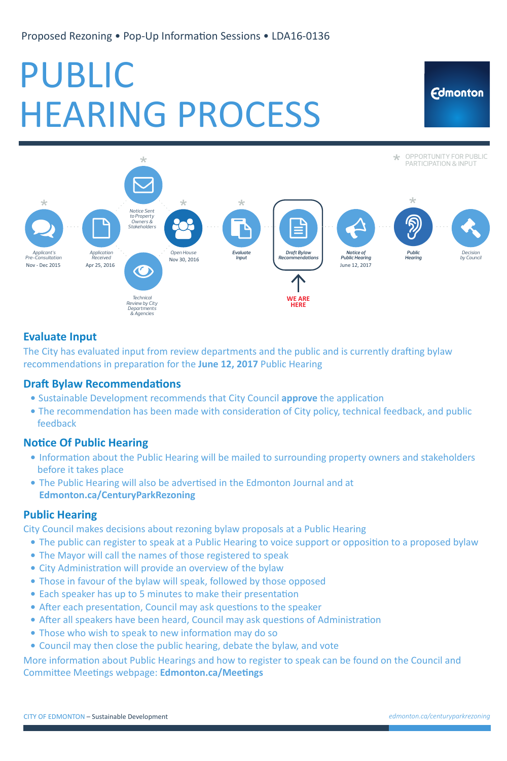CITY OF EDMONTON – Sustainable Development

Proposed Rezoning • Pop-Up Information Sessions • LDA16-0136

# PUBLIC HEARING PROCESS



- Sustainable Development recommends that City Council **approve** the application
- The recommendation has been made with consideration of City policy, technical feedback, and public feedback

## **Notice Of Public Hearing**

# **Evaluate Input**

The City has evaluated input from review departments and the public and is currently drafting bylaw recommendations in preparation for the **June 12, 2017** Public Hearing

### **Draft Bylaw Recommendations**

- Information about the Public Hearing will be mailed to surrounding property owners and stakeholders before it takes place
- **The Public Hearing will also be advertised in the Edmonton Journal and at Edmonton.ca/CenturyParkRezoning**

- The public can register to speak at a Public Hearing to voice support or opposition to a proposed bylaw
- The Mayor will call the names of those registered to speak
- City Administration will provide an overview of the bylaw
- Those in favour of the bylaw will speak, followed by those opposed
- Each speaker has up to 5 minutes to make their presentation
- After each presentation, Council may ask questions to the speaker
- After all speakers have been heard, Council may ask questions of Administration
- Those who wish to speak to new information may do so
- Council may then close the public hearing, debate the bylaw, and vote

More information about Public Hearings and how to register to speak can be found on the Council and Committee Meetings webpage: **Edmonton.ca/Meetings** 

# **Public Hearing**

City Council makes decisions about rezoning bylaw proposals at a Public Hearing

*edmonton.ca/centuryparkrezoning*

Edmonton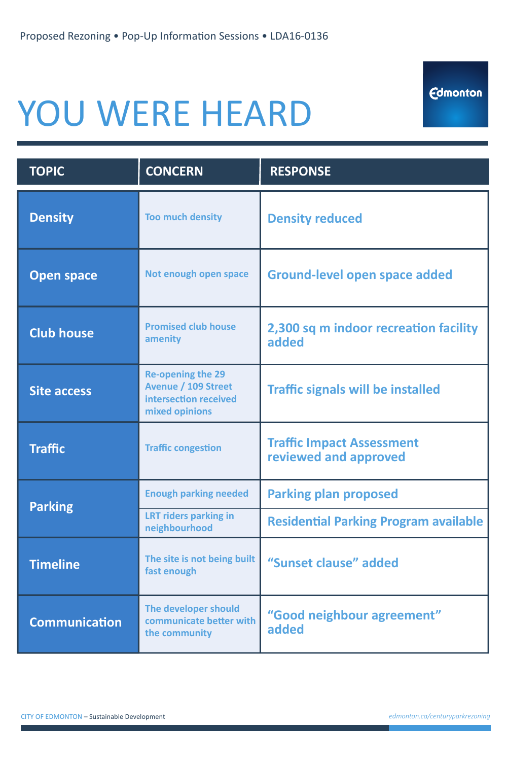CITY OF EDMONTON – Sustainable Development

*edmonton.ca/centuryparkrezoning*

Edmonton

Proposed Rezoning • Pop-Up Information Sessions • LDA16-0136

# YOU WERE HEARD

| <b>TOPIC</b>   | <b>CONCERN</b>          | <b>RESPONSE</b>        |
|----------------|-------------------------|------------------------|
| <b>Density</b> | <b>Too much density</b> | <b>Density reduced</b> |
|                |                         |                        |

| <b>Open space</b>    | Not enough open space                                                                             | Ground-level open space added                             |  |  |
|----------------------|---------------------------------------------------------------------------------------------------|-----------------------------------------------------------|--|--|
| <b>Club house</b>    | <b>Promised club house</b><br>amenity                                                             | 2,300 sq m indoor recreation facility<br>added            |  |  |
| <b>Site access</b>   | <b>Re-opening the 29</b><br><b>Avenue / 109 Street</b><br>intersection received<br>mixed opinions | <b>Traffic signals will be installed</b>                  |  |  |
| <b>Traffic</b>       | <b>Traffic congestion</b>                                                                         | <b>Traffic Impact Assessment</b><br>reviewed and approved |  |  |
| <b>Parking</b>       | <b>Enough parking needed</b>                                                                      | <b>Parking plan proposed</b>                              |  |  |
|                      | <b>LRT riders parking in</b><br>neighbourhood                                                     | <b>Residential Parking Program available</b>              |  |  |
| <b>Timeline</b>      | The site is not being built<br>fast enough                                                        | "Sunset clause" added                                     |  |  |
| <b>Communication</b> | The developer should<br>communicate better with<br>the community                                  | "Good neighbour agreement"<br>added                       |  |  |